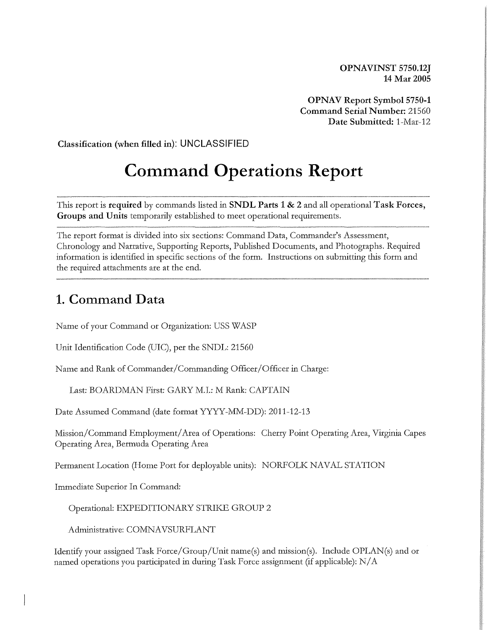**OPNAVINST 5750.12J 14 Mar 2005** 

**OPNAV Report Symbol 5750-1 Command Serial Number:** 21560 **Date Submitted:** 1-Mar-12

**Classification (when filled in): UNCLASSIFIED** 

## **Command Operations Report**

This report is **required** by commands listed in **SNDL Parts 1** & 2 and all operational **Task Forces, Groups and Units** temporarily established to meet operational requirements.

The report format is divided into six sections: Command Data, Commander's Assessment, Chronology and Narrative, Supporting Reports, Published Documents, and Photographs. Required information is identified in specific sections of the form. Instructions on submitting this form and the required attachments are at the end.

## **1. Command Data**

Name of your Command or Organization: USS WASP

Unit Identification Code (UIC), per the SNDL: 21560

Name and Rank of Commander/Commanding Officer/Officer in Charge:

Last: BOARDMAN First: GARY M.I.: M Rank: CAPTAIN

Date Assumed Command (date format YYYY-MM-DD): 2011-12-13

Mission/Command Employment/ Area of Operations: Cherty Point Operating Area, Virginia Capes Operating Area, Bermuda Operating Area

Permanent Location (Home Port for deployable units): NORFOLK NAVAL STATION

Immediate Superior In Command:

Operational: EXPEDITIONARY STRIKE GROUP 2

Administrative: COMNAVSURFLANT

Identify your assigned Task Force/Group/Unit name(s) and mission(s). Include OPLAN(s) and or named operations you participated in during Task Force assignment (if applicable):  $N/A$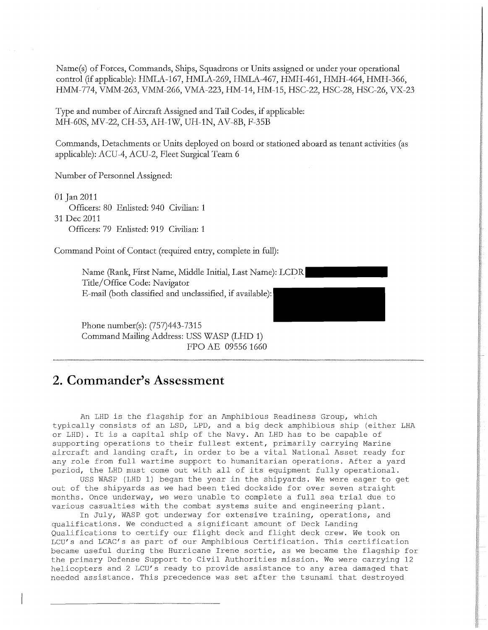Name(s) of Forces, Commands, Ships, Squadrons or Units assigned or under your operational control ~f applicable): HMLA-167, HMLA-269, HMLA-467, HMH-461, HMH-464, HMH-366, HMM-774, VMM-263, VMM-266, VMA-223, HM-14, HM-15, HSC-22, HSC-28, HSC-26, VX-23

Type and number of Aircraft Assigned and Tail Codes, if applicable: MH-60S, MV-22, CH-53, AH-1W, UH-1N, AV-SB, F-35B

Commands, Detachments or Units deployed on board or stationed aboard as tenant activities (as applicable): ACU-4, ACU-2, Fleet Surgical Team 6

Number of Personnel Assigned:

01 Jan 2011 Officers: 80 Enlisted: 940 Civilian: 1 31Dec2011 Officers: 79 Enlisted: 919 Civilian: 1

Command Point of Contact (required entiy, complete in full):

Name (Rank, First Name, Middle Initial, Last Name): LCDR Title/Office Code: Navigator E-mail (both classified and unclassified, if available):

Phone number(s): (757)443-7315 Command Mailing Address: USS WASP (LHD 1) FPO AE 09556 1660

## **2. Commander's Assessment**

An LHD is the flagship for an Amphibious Readiness Group, which typically consists of an LSD, LPD, and a big deck amphibious ship (either LHA or LHD). It is a capital ship of the Navy. An LHD has to be capable of supporting operations to their fullest extent, primarily carrying Marine aircraft and landing craft, in order to be a vital National Asset ready for any role from full wartime support to humanitarian operations. After a yard period, the LHD must come out with all of its equipment fully operational.

USS WASP (LHD 1) began the year in the shipyards. We were eager to get out of the shipyards as we had been tied dockside for over seven straight months. Once underway, we were unable to complete a full sea trial due to various casualties with the combat systems suite and engineering plant.

In July, WASP got underway for extensive training, operations, and qualifications. We conducted a significant amount of Deck Landing Qualifications to certify our flight deck and flight deck crew. We took on LCU's and LCAC's as part of our Amphibious Certification. This certification became useful during the Hurricane Irene sortie, as we became the flagship for the primary Defense Support to Civil Authorities mission. We were carrying 12 helicopters and 2 LCU's ready to provide assistance to any area damaged that needed assistance. This precedence was set after the tsunami that destroyed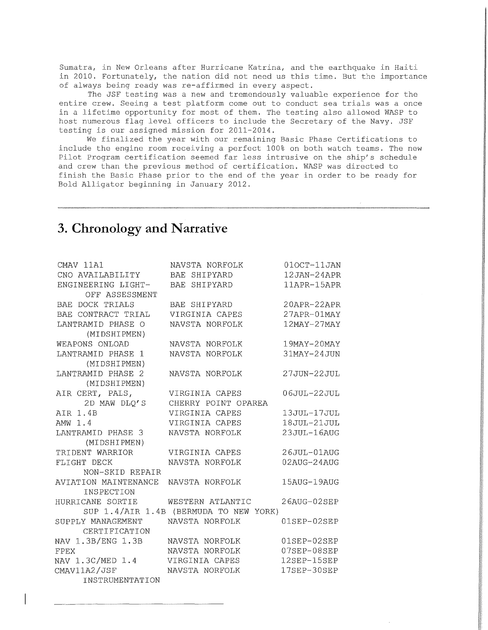Sumatra, in New Orleans after Hurricane Katrina, and the earthquake in Haiti in 2010. Fortunately, the nation did not need us this time. But the importance of always being ready was re-affirmed in every aspect.

The JSF testing was a new and tremendously valuable experience for the entire crew. Seeing a test platform come out to conduct sea trials was a once in a lifetime opportunity for most of them. The testing also allowed WASP to host numerous flag level officers to include the Secretary of the Navy. JSF testing is our assigned mission for 2011-2014.

We finalized the year with our remaining Basic Phase Certifications to include the engine room receiving a perfect 100% on both watch teams. The new Pilot Program certification seemed far less intrusive on the ship's schedule and crew than the previous method of certification. WASP was directed to finish the Basic Phase prior to the end of the year in order to be ready for Bold Alligator beginning in January 2012.

## **3. Chronology and Narrative**

| CMAV 11A1                         | NAVSTA NORFOLK<br>RAE SHIPYARD         | 010CT-11JAN        |
|-----------------------------------|----------------------------------------|--------------------|
| CNO AVAILABILITY                  |                                        | 12JAN-24APR        |
| ENGINEERING LIGHT-                |                                        | 11APR-15APR        |
| OFF ASSESSMENT                    |                                        |                    |
| BAE DOCK TRIALS                   |                                        | 20APR-22APR        |
| BAE CONTRACT TRIAL                | BAE SHIPYARD<br>VIRGINIA CAPES         | $27APPR - 01MAP$   |
| LANTRAMID PHASE O                 | NAVSTA NORFOLK                         | $12$ MAY- $27$ MAY |
| (MIDSHIPMEN)                      |                                        |                    |
| WEAPONS ONLOAD                    | NAVSTA NORFOLK                         | 19MAY-20MAY        |
| LANTRAMID PHASE 1                 | NAVSTA NORFOLK                         | 31MAY-24JUN        |
| (MIDSHIPMEN)                      |                                        |                    |
| LANTRAMID PHASE 2                 | NAVSTA NORFOLK                         | $27JUN-22JUL$      |
| (MIDSHIPMEN)                      |                                        |                    |
| AIR CERT, PALS,                   | VIRGINIA CAPES                         | 06JUL-22JUL        |
| 2D MAW DLO'S                      | CHERRY POINT OPAREA                    |                    |
| AIR 1.4B                          | VIRGINIA CAPES                         | 13JUL-17JUL        |
| AMW 1.4                           | VIRGINIA CAPES                         | 18JUL-21JUL        |
| LANTRAMID PHASE 3                 | NAVSTA NORFOLK                         | 23JUL-16AUG        |
| (MIDSHIPMEN)                      |                                        |                    |
| TRIDENT WARRIOR                   | VIRGINIA CAPES                         | 26JUL-01AUG        |
| FLIGHT DECK                       | NAVSTA NORFOLK                         | $02$ AUG- $24$ AUG |
| NON-SKID REPAIR                   |                                        |                    |
| AVIATION MAINTENANCE              | NAVSTA NORFOLK                         | 15AUG-19AUG        |
| INSPECTION                        |                                        |                    |
| HURRICANE SORTIE WESTERN ATLANTIC |                                        | $26AUG-02SEP$      |
|                                   | SUP 1.4/AIR 1.4B (BERMUDA TO NEW YORK) |                    |
| SUPPLY MANAGEMENT                 | NAVSTA NORFOLK                         | $01$ SEP- $02$ SEP |
| CERTIFICATION                     |                                        |                    |
| NAV 1.3B/ENG 1.3B                 | NAVSTA NORFOLK                         | 01SEP-02SEP        |
| <b>FPEX</b>                       | NAVSTA NORFOLK                         | 07SEP-08SEP        |
| NAV 1.3C/MED 1.4                  | VIRGINIA CAPES                         | $12$ SEP- $15$ SEP |
| CMAV11A2/JSF                      | NAVSTA NORFOLK                         | 17SEP-30SEP        |
| INSTRUMENTATION                   |                                        |                    |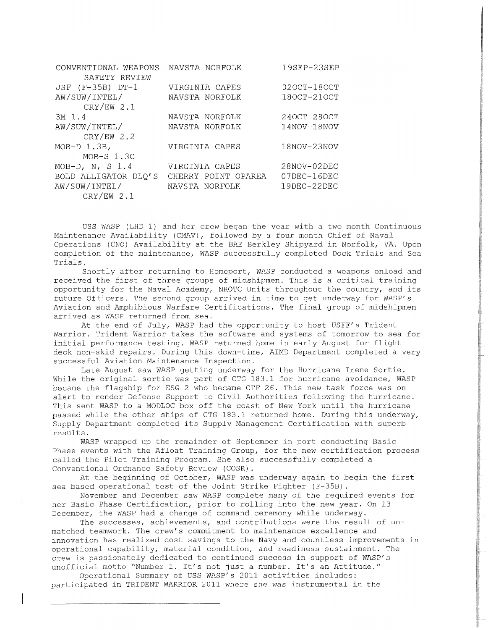| CONVENTIONAL WEAPONS<br>SAFETY REVIEW | NAVSTA NORFOLK      | 19SEP-23SEP     |
|---------------------------------------|---------------------|-----------------|
|                                       |                     |                 |
| JSF (F-35B) DT-1                      | VIRGINIA CAPES      | $020CT-180CT$   |
| AW/SUW/INTEL/                         | NAVSTA NORFOLK      | $180CT-210CT$   |
| $CRY/EW$ 2.1                          |                     |                 |
| $3M_1$ 1.4                            | NAVSTA NORFOLK      | $240CT - 280CT$ |
| AW/SUW/INTEL/                         | NAVSTA NORFOLK      | $14NOV-18NOV$   |
| $CRY/EW$ 2.2                          |                     |                 |
| $MOD-D$ 1.3B,                         | VIRGINIA CAPES      | $18NOV - 23NOV$ |
| $MOB-S$ 1.3C                          |                     |                 |
| MOB-D, N, S $1.4$                     | VIRGINIA CAPES      | $28NOV-02DEC$   |
| BOLD ALLIGATOR DLO'S                  | CHERRY POINT OPAREA | 07DEC-16DEC     |
| AW/SUW/INTEL/                         | NAVSTA NORFOLK      | $19$ DEC-22DEC  |
| $CRY/EW$ 2.1                          |                     |                 |

USS WASP (LHD 1) and her crew began the year with a two month Continuous Maintenance Availability (CMAV), followed by a four month Chief of Naval Operations (CNO) Availability at the BAE Berkley Shipyard in Norfolk, VA. Upon completion of the maintenance, WASP successfully completed Dock Trials and Sea Trials.

Shortly after returning to Homeport, WASP conducted a weapons onload and received the first of three groups of midshipmen. This is a critical training opportunity for the Naval Academy, NROTC Units throughout the country, and its future Officers. The second group arrived in time to get underway for WASP's Aviation and Amphibious Warfare Certifications. The final group of midshipmen arrived as WASP returned from sea.

At the end of July, WASP had the opportunity to host USFF's Trident Warrior. Trident Warrior takes the software and systems of tomorrow to sea for initial performance testing. WASP returned home in early August for flight deck non-skid repairs. During this down-time, AIMD Department completed a very successful Aviation Maintenance Inspection.

Late August saw WASP getting underway for the Hurricane Irene Sortie. While the original sortie was part of CTG 183.1 for hurricane avoidance, WASP became the flagship for ESG 2 who became CTF 26. This new task force was on alert to render Defense Support to Civil Authorities following the hurricane. This sent WASP to a MODLOC box off the coast of New York until the hurricane passed while the other ships of CTG 183.1 returned home. During this underway, Supply Department completed its Supply Management Certification with superb results.

WASP wrapped up the remainder of September in port conducting Basic Phase events with the Afloat Training Group, for the new certification process called the Pilot Training Program. She also successfully completed a Conventional Ordnance Safety Review (COSR) .

At the beginning of October, WASP was underway again to begin the first sea based operational test of the Joint Strike Fighter (F-35B) .

November and December saw WASP complete many of the required events for her Basic Phase Certification, prior to rolling into the new year. On 13 December, the WASP had a change of command ceremony while underway.

The successes, achievements, and contributions were the result of unmatched teamwork. The crew's commitment to maintenance excellence and innovation has realized cost savings to the Navy and countless improvements in operational capability, material condition, and readiness sustainment. The crew is passionately dedicated to continued success in support of WASP's unofficial motto "Number 1. It's not just a number. It's an Attitude."

Operational Summary of USS WASP's 2011 activities includes: participated in TRIDENT WARRIOR 2011 where she was instrumental in the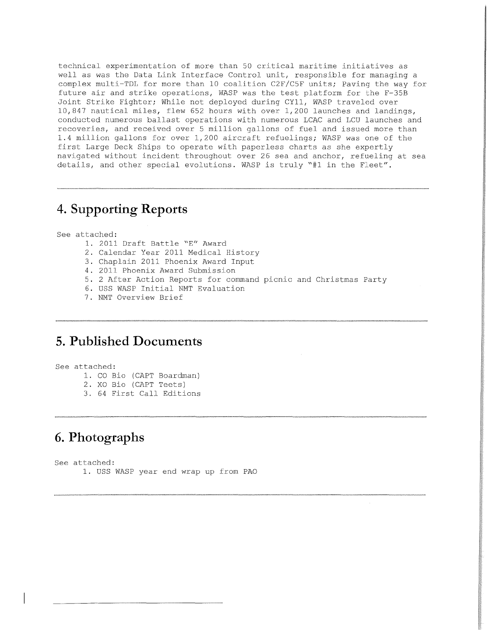technical experimentation of more than 50 critical maritime initiatives as well as was the Data Link Interface Control unit, responsible for managing a complex multi-TDL for more than 10 coalition C2F/C5F units; Paving the way for future air and strike operations, WASP was the test platform for the F-35B Joint Strike Fighter; While not deployed during CYll, WASP traveled over 10,847 nautical miles, flew 652 hours with over 1,200 launches and landings, conducted numerous ballast operations with numerous LCAC and LCU launches and recoveries, and received over 5 million gallons of fuel and issued more than 1.4 million gallons for over 1,200 aircraft refuelings; WASP was one of the first Large Deck Ships to operate with paperless charts as she expertly navigated without incident throughout over 26 sea and anchor, refueling at sea details, and other special evolutions. WASP is truly "#1 in the Fleet".

## **4. Supporting Reports**

See attached:

- 1. 2011 Draft Battle "E" Award
- 2. Calendar Year 2011 Medical History
- 3. Chaplain 2011 Phoenix Award Input
- 4. 2011 Phoenix Award Submission
- 5. 2 After Action Reports for command picnic and Christmas Party
- 6. USS WASP Initial NMT Evaluation
- 7. NMT Overview Brief

## **5. Published Documents**

See attached:

- 1. CO Bio (CAPT Boardman)
- 2. XO Bio (CAPT Teets)
- 3. 64 First Call Editions

## **6. Photographs**

See attached: 1. USS WASP year end wrap up from PAO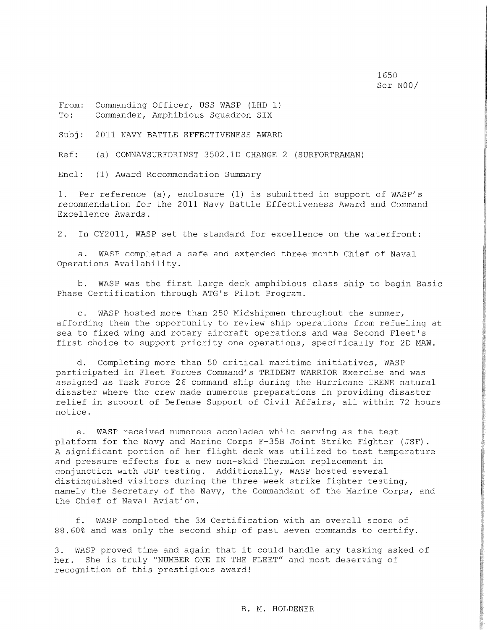1650 Ser NOO/

From: To: Commanding Officer, USS WASP (LHD 1) Commander, Amphibious Squadron SIX

Subj: 2011 NAVY BATTLE EFFECTIVENESS AWARD

Ref: (a) COMNAVSURFORINST 3502.lD CHANGE 2 (SURFORTRAMAN)

Encl: (1) Award Recommendation Summary

1. Per reference (a), enclosure (1) is submitted in support of WASP's recommendation for the 2011 Navy Battle Effectiveness Award and Command Excellence Awards.

2. In CY2011, WASP set the standard for excellence on the waterfront:

a. WASP completed a safe and extended three-month Chief of Naval Operations Availability.

b. WASP was the first large deck amphibious class ship to begin Basic Phase Certification through ATG's Pilot Program.

c. WASP hosted more than 250 Midshipmen throughout the summer, affording them the opportunity to review ship operations from refueling at sea to fixed wing and rotary aircraft operations and was Second Fleet's first choice to support priority one operations, specifically for 2D MAW.

d. Completing more than 50 critical maritime initiatives, WASP participated in Fleet Forces Command's TRIDENT WARRIOR Exercise and was assigned as Task Force 26 command ship during the Hurricane IRENE natural disaster where the crew made numerous preparations in providing disaster relief in support of Defense Support of Civil Affairs, all within 72 hours notice.

e. WASP received numerous accolades while serving as the test platform for the Navy and Marine Corps F-35B Joint Strike Fighter (JSF). A significant portion of her flight deck was utilized to test temperature and pressure effects for a new non-skid Thermion replacement in conjunction with JSF testing. Additionally, WASP hosted several distinguished visitors during the three-week strike fighter testing, namely the Secretary of the Navy, the Commandant of the Marine Corps, and the Chief of Naval Aviation.

f. WASP completed the 3M Certification with an overall score of 88.60% and was only the second ship of past seven commands to certify.

3. WASP proved time and again that it could handle any tasking asked of her. She is truly "NUMBER ONE IN THE FLEET" and most deserving of recognition of this prestigious award!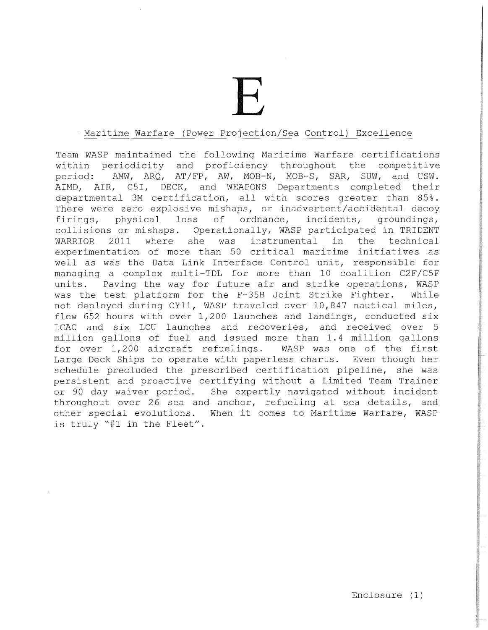E

#### Maritime Warfare (Power Projection/Sea Control) Excellence

Team WASP maintained the following Maritime Warfare certifications within periodicity and proficiency throughout the competitive period: AMW, ARQ, AT/FP, AW, MOB-N, MOB-S, SAR, SUW, and USW. AIMD, AIR, C5I, DECK, and WEAPONS Departments completed their departmental 3M certification, all with scores greater than 85%. There were zero explosive mishaps, or inadvertent/accidental decoy firings, physical loss of ordnance, incidents, groundings, collisions or mishaps. Operationally, WASP participated in TRIDENT WARRIOR 2011 where she was instrumental in the technical experimentation of more than 50 critical maritime initiatives as well as was the Data Link Interface Control unit, responsible for managing a complex multi-TDL for more than 10 coalition C2F/C5F units. Paving the way for future air and strike operations, WASP was the test platform for the F-35B Joint Strike Fighter. While not deployed during CYll, WASP traveled over 10,847 nautical miles, flew 652 hours with over 1,200 launches and landings, conducted six LCAC and six LCU launches and recoveries, and received over 5 million gallons of fuel and issued more than 1.4 million gallons<br>for over 1,200 aircraft refuelings. WASP was one of the first for over  $1,200$  aircraft refuelings. Large Deck Ships to operate with paperless charts. Even though her schedule precluded the prescribed certification pipeline, she was persistent and proactive certifying without a Limited Team Trainer or 90 day waiver period. She expertly navigated without incident throughout over 26 sea and anchor, refueling at sea details, and other special evolutions. When it comes to Maritime Warfare, WASP is truly "#1 in the Fleet".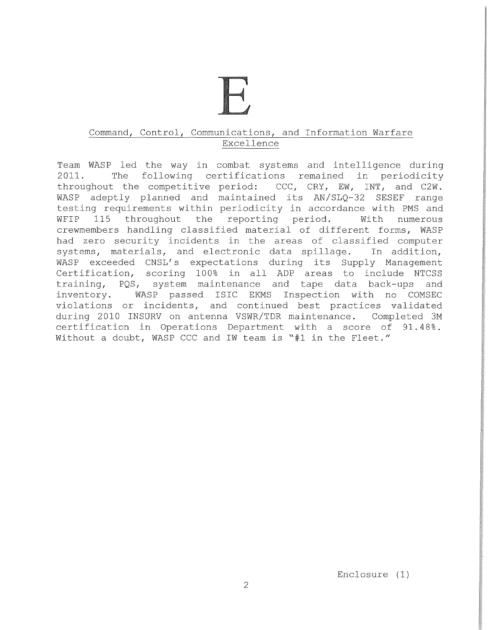### Command, Control, Communications, and Information Warfare Excellence

Team WASP led the way in combat systems and intelligence during 2011. The following certifications remained in periodicity throughout the competitive period: CCC, CRY, EW, INT, and C2W. WASP adeptly planned and maintained its AN/SLQ-32 SESEF range testing requirements within periodicity in accordance with PMS and<br>WFIP 115 throughout the reporting period. With numerous reporting period. With numerous crewmembers handling classified material of different forms, WASP had zero security incidents in the areas of classified computer systems, materials, and electronic data spillage. In addition, WASP exceeded CNSL's expectations during its Supply Management Certification, scoring 100% in all ADP areas to include NTCSS training, PQS, system maintenance and tape data back-ups and inventory. WASP passed ISIC EKMS Inspection with no COMSEC violations or incidents, and continued best practices validated during 2010 INSURV on antenna VSWR/TDR maintenance. Completed 3M certification in Operations Department with a score of 91.48%. Without a doubt, WASP CCC and IW team is "#1 in the Fleet."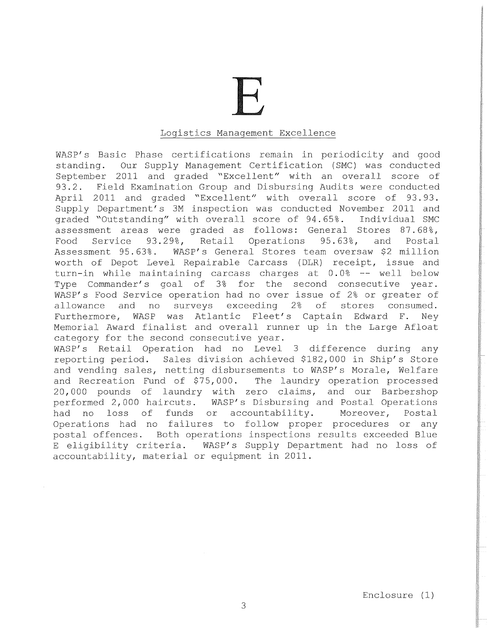# E

#### Logistics Management Excellence

WASP's Basic Phase certifications remain in periodicity and good standing. Our Supply Management Certification (SMC) was conducted September 2011 and graded "Excellent" with an overall score of 93.2. Field Examination Group and Disbursing Audits were conducted April 2011 and graded "Excellent" with overall score of 93. 93. Supply Department's 3M inspection was conducted November 2011 and graded "Outstanding" with overall score of 94.65%. Individual SMC assessment areas were graded as follows: General Stores  $87.68$ %, Food Service 93.29%, Retail Operations 95.63%, and Postal<br>Assessment 95.63%. WASP's General Stores team oversaw \$2 million WASP's General Stores team oversaw \$2 million worth of Depot Level Repairable Carcass (DLR) receipt, issue and turn-in while maintaining carcass charges at  $0.0$ % -- well below Type Commander's goal of 3% for the second consecutive year. WASP's Food Service operation had no over issue of 2% or greater of allowance and no surveys exceeding 2% of stores consumed. Furthermore, WASP was Atlantic Fleet's Captain Edward F. Ney Memorial Award finalist and overall runner up in the Large Afloat category for the second consecutive year. WASP's Retail Operation had no Level 3 difference during any

reporting period. Sales division achieved \$182,000 in Ship's Store and vending sales, netting disbursements to WASP's Morale, Welfare and Recreation Fund of \$75, 000. The laundry operation processed 20,000 pounds of laundry with zero claims, and our Barbershop performed 2, 000 haircuts. WASP' s Disbursing and Postal Operations had no loss of funds or accountability. Moreover, Postal Operations had no failures to follow proper procedures or any postal offences. Both operations inspections results exceeded Blue E eligibility criteria. WASP's Supply Department had no loss of accountability, material or equipment in 2011.